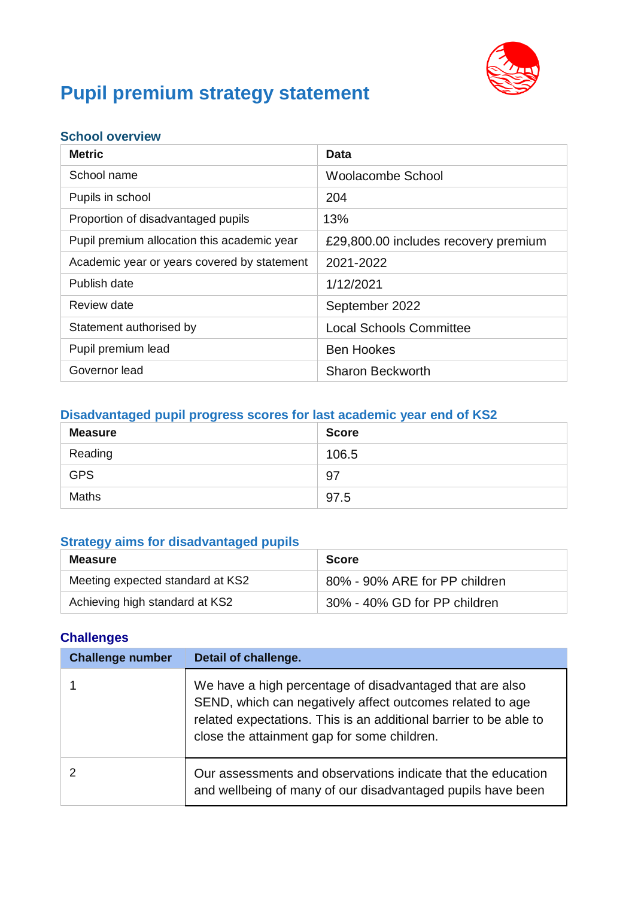

# **Pupil premium strategy statement**

#### **School overview**

| <b>Metric</b>                               | Data                                 |
|---------------------------------------------|--------------------------------------|
| School name                                 | Woolacombe School                    |
| Pupils in school                            | 204                                  |
| Proportion of disadvantaged pupils          | 13%                                  |
| Pupil premium allocation this academic year | £29,800.00 includes recovery premium |
| Academic year or years covered by statement | 2021-2022                            |
| Publish date                                | 1/12/2021                            |
| Review date                                 | September 2022                       |
| Statement authorised by                     | <b>Local Schools Committee</b>       |
| Pupil premium lead                          | <b>Ben Hookes</b>                    |
| Governor lead                               | <b>Sharon Beckworth</b>              |

#### **Disadvantaged pupil progress scores for last academic year end of KS2**

| <b>Measure</b> | <b>Score</b> |
|----------------|--------------|
| Reading        | 106.5        |
| <b>GPS</b>     | 97           |
| Maths          | 97.5         |

#### **Strategy aims for disadvantaged pupils**

| Measure                          | <b>Score</b>                  |
|----------------------------------|-------------------------------|
| Meeting expected standard at KS2 | 80% - 90% ARE for PP children |
| Achieving high standard at KS2   | 30% - 40% GD for PP children  |

#### **Challenges**

| <b>Challenge number</b> | Detail of challenge.                                                                                                                                                                                                                      |
|-------------------------|-------------------------------------------------------------------------------------------------------------------------------------------------------------------------------------------------------------------------------------------|
|                         | We have a high percentage of disadvantaged that are also<br>SEND, which can negatively affect outcomes related to age<br>related expectations. This is an additional barrier to be able to<br>close the attainment gap for some children. |
|                         | Our assessments and observations indicate that the education<br>and wellbeing of many of our disadvantaged pupils have been                                                                                                               |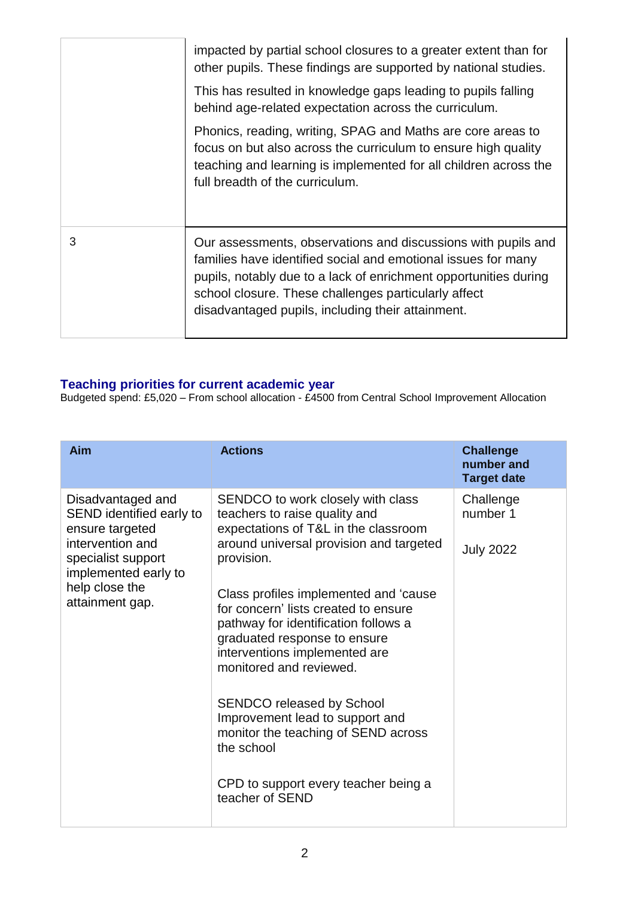|   | impacted by partial school closures to a greater extent than for<br>other pupils. These findings are supported by national studies.                                                                                                                                                                             |
|---|-----------------------------------------------------------------------------------------------------------------------------------------------------------------------------------------------------------------------------------------------------------------------------------------------------------------|
|   | This has resulted in knowledge gaps leading to pupils falling<br>behind age-related expectation across the curriculum.                                                                                                                                                                                          |
|   | Phonics, reading, writing, SPAG and Maths are core areas to<br>focus on but also across the curriculum to ensure high quality<br>teaching and learning is implemented for all children across the<br>full breadth of the curriculum.                                                                            |
| 3 | Our assessments, observations and discussions with pupils and<br>families have identified social and emotional issues for many<br>pupils, notably due to a lack of enrichment opportunities during<br>school closure. These challenges particularly affect<br>disadvantaged pupils, including their attainment. |

#### **Teaching priorities for current academic year**

Budgeted spend: £5,020 – From school allocation - £4500 from Central School Improvement Allocation

| Aim                                                                                                        | <b>Actions</b>                                                                                                                                                                                                    | <b>Challenge</b><br>number and<br><b>Target date</b> |
|------------------------------------------------------------------------------------------------------------|-------------------------------------------------------------------------------------------------------------------------------------------------------------------------------------------------------------------|------------------------------------------------------|
| Disadvantaged and<br>SEND identified early to<br>ensure targeted<br>intervention and<br>specialist support | SENDCO to work closely with class<br>teachers to raise quality and<br>expectations of T&L in the classroom<br>around universal provision and targeted<br>provision.                                               | Challenge<br>number 1<br><b>July 2022</b>            |
| implemented early to<br>help close the<br>attainment gap.                                                  | Class profiles implemented and 'cause<br>for concern' lists created to ensure<br>pathway for identification follows a<br>graduated response to ensure<br>interventions implemented are<br>monitored and reviewed. |                                                      |
|                                                                                                            | <b>SENDCO released by School</b><br>Improvement lead to support and<br>monitor the teaching of SEND across<br>the school                                                                                          |                                                      |
|                                                                                                            | CPD to support every teacher being a<br>teacher of SEND                                                                                                                                                           |                                                      |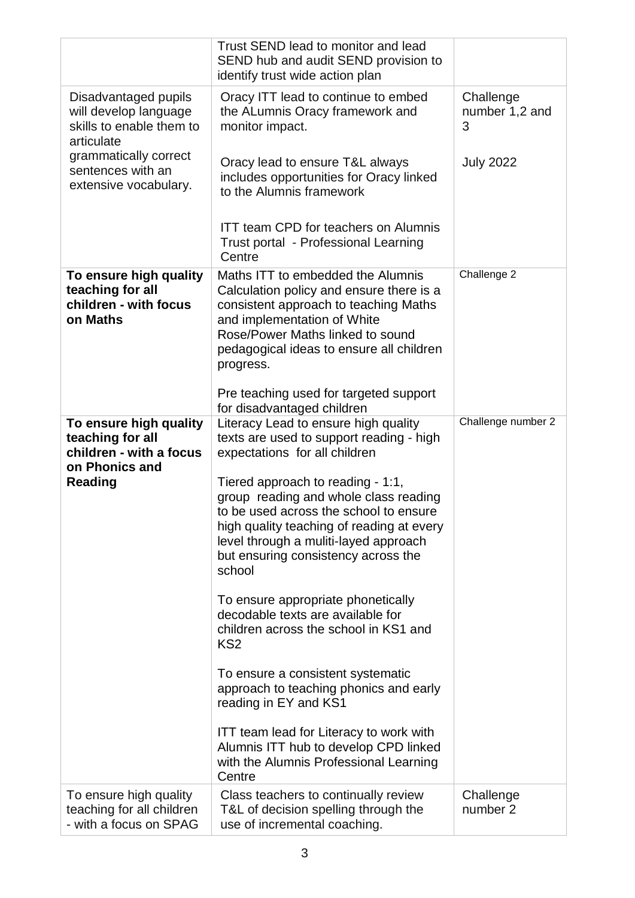|                                                                                         | Trust SEND lead to monitor and lead<br>SEND hub and audit SEND provision to<br>identify trust wide action plan                                                                                                                                              |                                  |
|-----------------------------------------------------------------------------------------|-------------------------------------------------------------------------------------------------------------------------------------------------------------------------------------------------------------------------------------------------------------|----------------------------------|
| Disadvantaged pupils<br>will develop language<br>skills to enable them to<br>articulate | Oracy ITT lead to continue to embed<br>the ALumnis Oracy framework and<br>monitor impact.                                                                                                                                                                   | Challenge<br>number 1,2 and<br>3 |
| grammatically correct<br>sentences with an<br>extensive vocabulary.                     | Oracy lead to ensure T&L always<br>includes opportunities for Oracy linked<br>to the Alumnis framework                                                                                                                                                      | <b>July 2022</b>                 |
|                                                                                         | <b>ITT team CPD for teachers on Alumnis</b><br>Trust portal - Professional Learning<br>Centre                                                                                                                                                               |                                  |
| To ensure high quality<br>teaching for all<br>children - with focus<br>on Maths         | Maths ITT to embedded the Alumnis<br>Calculation policy and ensure there is a<br>consistent approach to teaching Maths<br>and implementation of White<br>Rose/Power Maths linked to sound<br>pedagogical ideas to ensure all children<br>progress.          | Challenge 2                      |
|                                                                                         | Pre teaching used for targeted support<br>for disadvantaged children                                                                                                                                                                                        |                                  |
| To ensure high quality<br>teaching for all<br>children - with a focus<br>on Phonics and | Literacy Lead to ensure high quality<br>texts are used to support reading - high<br>expectations for all children                                                                                                                                           | Challenge number 2               |
| <b>Reading</b>                                                                          | Tiered approach to reading - 1:1,<br>group reading and whole class reading<br>to be used across the school to ensure<br>high quality teaching of reading at every<br>level through a muliti-layed approach<br>but ensuring consistency across the<br>school |                                  |
|                                                                                         | To ensure appropriate phonetically<br>decodable texts are available for<br>children across the school in KS1 and<br>KS <sub>2</sub>                                                                                                                         |                                  |
|                                                                                         | To ensure a consistent systematic<br>approach to teaching phonics and early<br>reading in EY and KS1                                                                                                                                                        |                                  |
|                                                                                         | ITT team lead for Literacy to work with<br>Alumnis ITT hub to develop CPD linked<br>with the Alumnis Professional Learning<br>Centre                                                                                                                        |                                  |
| To ensure high quality<br>teaching for all children<br>- with a focus on SPAG           | Class teachers to continually review<br>T&L of decision spelling through the<br>use of incremental coaching.                                                                                                                                                | Challenge<br>number 2            |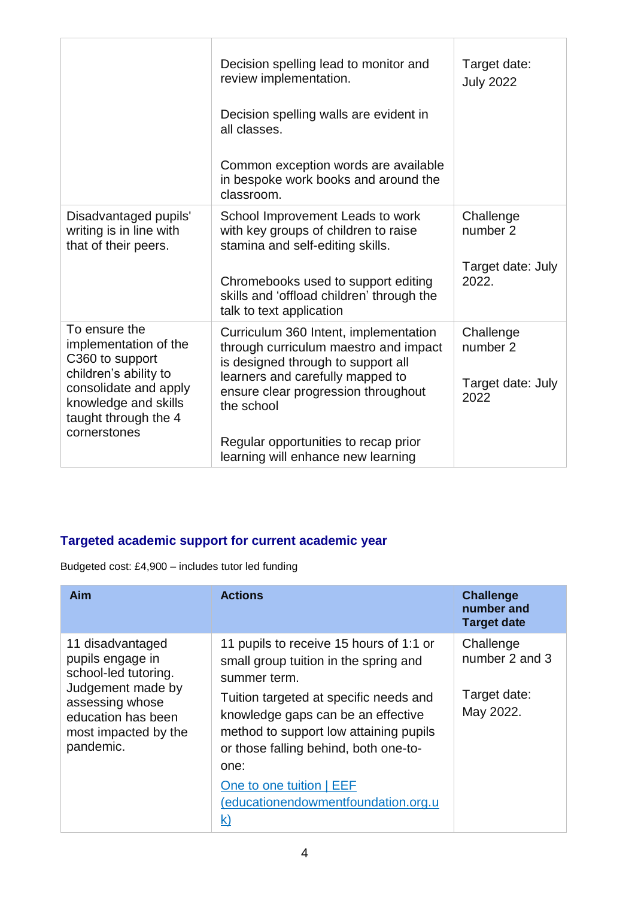|                                                                                                                                                                             | Decision spelling lead to monitor and<br>review implementation.<br>Decision spelling walls are evident in<br>all classes.<br>Common exception words are available<br>in bespoke work books and around the<br>classroom.                                                                     | Target date:<br><b>July 2022</b>                    |
|-----------------------------------------------------------------------------------------------------------------------------------------------------------------------------|---------------------------------------------------------------------------------------------------------------------------------------------------------------------------------------------------------------------------------------------------------------------------------------------|-----------------------------------------------------|
| Disadvantaged pupils'<br>writing is in line with<br>that of their peers.                                                                                                    | School Improvement Leads to work<br>with key groups of children to raise<br>stamina and self-editing skills.<br>Chromebooks used to support editing<br>skills and 'offload children' through the<br>talk to text application                                                                | Challenge<br>number 2<br>Target date: July<br>2022. |
| To ensure the<br>implementation of the<br>C360 to support<br>children's ability to<br>consolidate and apply<br>knowledge and skills<br>taught through the 4<br>cornerstones | Curriculum 360 Intent, implementation<br>through curriculum maestro and impact<br>is designed through to support all<br>learners and carefully mapped to<br>ensure clear progression throughout<br>the school<br>Regular opportunities to recap prior<br>learning will enhance new learning | Challenge<br>number 2<br>Target date: July<br>2022  |

### **Targeted academic support for current academic year**

Budgeted cost: £4,900 – includes tutor led funding

| Aim                                                                                                                                                             | <b>Actions</b>                                                                                                                                                                                                                                                                                                                                              | <b>Challenge</b><br>number and<br><b>Target date</b>     |
|-----------------------------------------------------------------------------------------------------------------------------------------------------------------|-------------------------------------------------------------------------------------------------------------------------------------------------------------------------------------------------------------------------------------------------------------------------------------------------------------------------------------------------------------|----------------------------------------------------------|
| 11 disadvantaged<br>pupils engage in<br>school-led tutoring.<br>Judgement made by<br>assessing whose<br>education has been<br>most impacted by the<br>pandemic. | 11 pupils to receive 15 hours of 1:1 or<br>small group tuition in the spring and<br>summer term.<br>Tuition targeted at specific needs and<br>knowledge gaps can be an effective<br>method to support low attaining pupils<br>or those falling behind, both one-to-<br>one:<br>One to one tuition   EEF<br>(educationendowmentfoundation.org.u<br><u>k)</u> | Challenge<br>number 2 and 3<br>Target date:<br>May 2022. |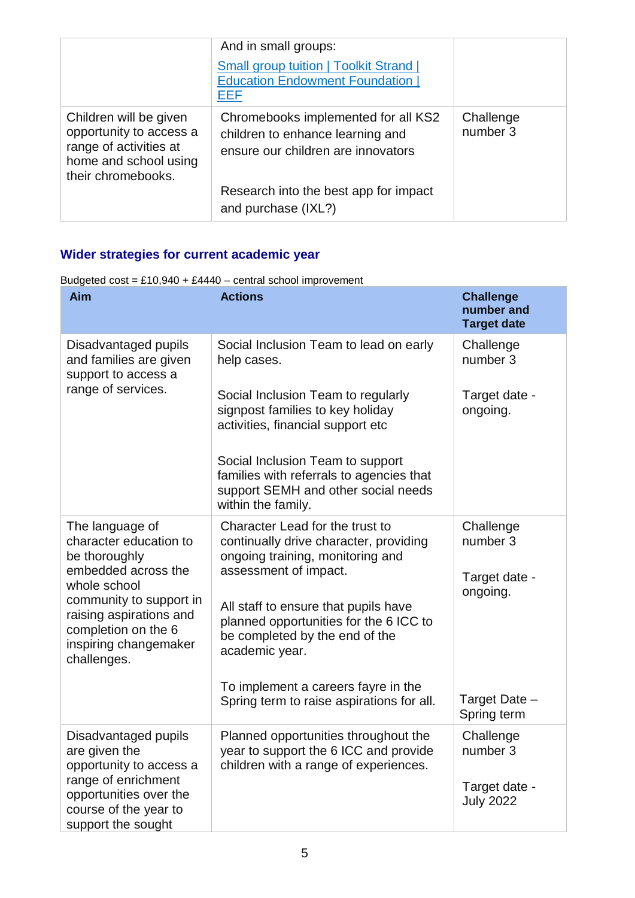|                                                                                                                            | And in small groups:                                                                                          |                       |
|----------------------------------------------------------------------------------------------------------------------------|---------------------------------------------------------------------------------------------------------------|-----------------------|
|                                                                                                                            | <b>Small group tuition   Toolkit Strand  </b><br><b>Education Endowment Foundation  </b><br><u>EEF</u>        |                       |
| Children will be given<br>opportunity to access a<br>range of activities at<br>home and school using<br>their chromebooks. | Chromebooks implemented for all KS2<br>children to enhance learning and<br>ensure our children are innovators | Challenge<br>number 3 |
|                                                                                                                            | Research into the best app for impact<br>and purchase (IXL?)                                                  |                       |

## **Wider strategies for current academic year**

| Budgeted $cost = £10,940 + £4440 - central school improvement$ |
|----------------------------------------------------------------|
|----------------------------------------------------------------|

| Aim                                                                                                                               | <b>Actions</b>                                                                                                                            | <b>Challenge</b><br>number and<br><b>Target date</b> |
|-----------------------------------------------------------------------------------------------------------------------------------|-------------------------------------------------------------------------------------------------------------------------------------------|------------------------------------------------------|
| Disadvantaged pupils<br>and families are given<br>support to access a<br>range of services.                                       | Social Inclusion Team to lead on early<br>help cases.                                                                                     | Challenge<br>number 3                                |
|                                                                                                                                   | Social Inclusion Team to regularly<br>signpost families to key holiday<br>activities, financial support etc                               | Target date -<br>ongoing.                            |
|                                                                                                                                   | Social Inclusion Team to support<br>families with referrals to agencies that<br>support SEMH and other social needs<br>within the family. |                                                      |
| The language of<br>character education to<br>be thoroughly<br>embedded across the                                                 | Character Lead for the trust to<br>continually drive character, providing<br>ongoing training, monitoring and<br>assessment of impact.    | Challenge<br>number 3<br>Target date -               |
| whole school<br>community to support in<br>raising aspirations and<br>completion on the 6<br>inspiring changemaker<br>challenges. | All staff to ensure that pupils have<br>planned opportunities for the 6 ICC to<br>be completed by the end of the<br>academic year.        | ongoing.                                             |
|                                                                                                                                   | To implement a careers fayre in the<br>Spring term to raise aspirations for all.                                                          | Target Date -<br>Spring term                         |
| Disadvantaged pupils<br>are given the<br>opportunity to access a                                                                  | Planned opportunities throughout the<br>year to support the 6 ICC and provide<br>children with a range of experiences.                    | Challenge<br>number 3                                |
| range of enrichment<br>opportunities over the<br>course of the year to<br>support the sought                                      |                                                                                                                                           | Target date -<br><b>July 2022</b>                    |